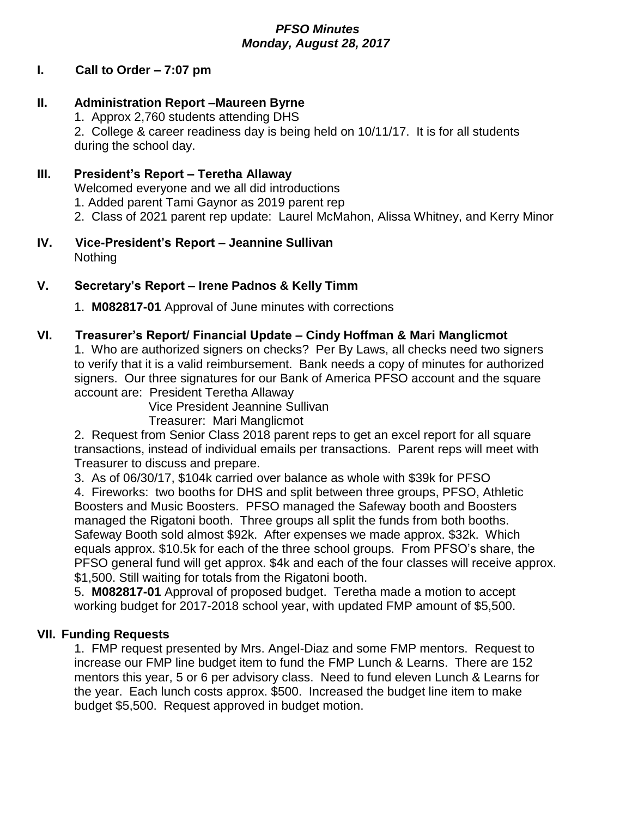## *PFSO Minutes Monday, August 28, 2017*

## **I. Call to Order – 7:07 pm**

# **II. Administration Report –Maureen Byrne**

1. Approx 2,760 students attending DHS

2. College & career readiness day is being held on 10/11/17. It is for all students during the school day.

## **III. President's Report – Teretha Allaway**

Welcomed everyone and we all did introductions

- 1. Added parent Tami Gaynor as 2019 parent rep
- 2. Class of 2021 parent rep update: Laurel McMahon, Alissa Whitney, and Kerry Minor

#### **IV. Vice-President's Report – Jeannine Sullivan** Nothing

## **V. Secretary's Report – Irene Padnos & Kelly Timm**

1. **M082817-01** Approval of June minutes with corrections

# **VI. Treasurer's Report/ Financial Update – Cindy Hoffman & Mari Manglicmot**

1. Who are authorized signers on checks? Per By Laws, all checks need two signers to verify that it is a valid reimbursement. Bank needs a copy of minutes for authorized signers. Our three signatures for our Bank of America PFSO account and the square account are: President Teretha Allaway

Vice President Jeannine Sullivan

Treasurer: Mari Manglicmot

2. Request from Senior Class 2018 parent reps to get an excel report for all square transactions, instead of individual emails per transactions. Parent reps will meet with Treasurer to discuss and prepare.

3. As of 06/30/17, \$104k carried over balance as whole with \$39k for PFSO

4. Fireworks: two booths for DHS and split between three groups, PFSO, Athletic Boosters and Music Boosters. PFSO managed the Safeway booth and Boosters managed the Rigatoni booth. Three groups all split the funds from both booths. Safeway Booth sold almost \$92k. After expenses we made approx. \$32k. Which equals approx. \$10.5k for each of the three school groups. From PFSO's share, the PFSO general fund will get approx. \$4k and each of the four classes will receive approx. \$1,500. Still waiting for totals from the Rigatoni booth.

5. **M082817-01** Approval of proposed budget. Teretha made a motion to accept working budget for 2017-2018 school year, with updated FMP amount of \$5,500.

#### **VII. Funding Requests**

1. FMP request presented by Mrs. Angel-Diaz and some FMP mentors. Request to increase our FMP line budget item to fund the FMP Lunch & Learns. There are 152 mentors this year, 5 or 6 per advisory class. Need to fund eleven Lunch & Learns for the year. Each lunch costs approx. \$500. Increased the budget line item to make budget \$5,500. Request approved in budget motion.